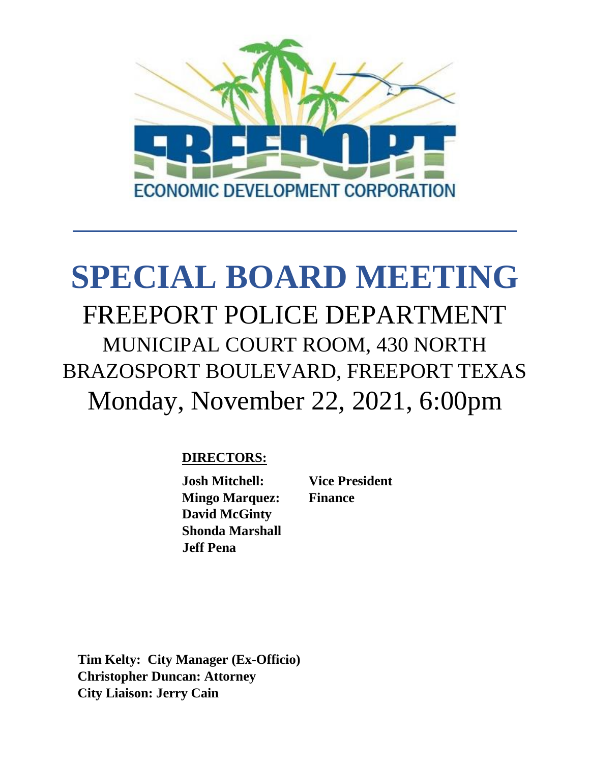

# **SPECIAL BOARD MEETING** FREEPORT POLICE DEPARTMENT MUNICIPAL COURT ROOM, 430 NORTH BRAZOSPORT BOULEVARD, FREEPORT TEXAS Monday, November 22, 2021, 6:00pm

# **DIRECTORS:**

**Josh Mitchell: Vice President Mingo Marquez: Finance David McGinty Shonda Marshall Jeff Pena**

**Tim Kelty: City Manager (Ex-Officio) Christopher Duncan: Attorney City Liaison: Jerry Cain**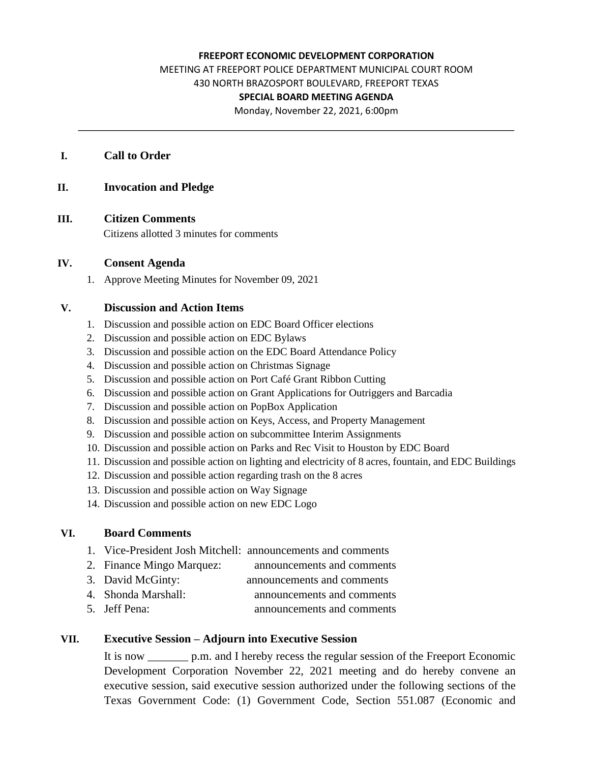#### **FREEPORT ECONOMIC DEVELOPMENT CORPORATION**

MEETING AT FREEPORT POLICE DEPARTMENT MUNICIPAL COURT ROOM 430 NORTH BRAZOSPORT BOULEVARD, FREEPORT TEXAS **SPECIAL BOARD MEETING AGENDA**

Monday, November 22, 2021, 6:00pm

#### **I. Call to Order**

#### **II. Invocation and Pledge**

#### **III. Citizen Comments**

Citizens allotted 3 minutes for comments

#### **IV. Consent Agenda**

1. Approve Meeting Minutes for November 09, 2021

#### **V. Discussion and Action Items**

- 1. Discussion and possible action on EDC Board Officer elections
- 2. Discussion and possible action on EDC Bylaws
- 3. Discussion and possible action on the EDC Board Attendance Policy
- 4. Discussion and possible action on Christmas Signage
- 5. Discussion and possible action on Port Café Grant Ribbon Cutting
- 6. Discussion and possible action on Grant Applications for Outriggers and Barcadia
- 7. Discussion and possible action on PopBox Application
- 8. Discussion and possible action on Keys, Access, and Property Management
- 9. Discussion and possible action on subcommittee Interim Assignments
- 10. Discussion and possible action on Parks and Rec Visit to Houston by EDC Board
- 11. Discussion and possible action on lighting and electricity of 8 acres, fountain, and EDC Buildings
- 12. Discussion and possible action regarding trash on the 8 acres
- 13. Discussion and possible action on Way Signage
- 14. Discussion and possible action on new EDC Logo

#### **VI. Board Comments**

- 1. Vice-President Josh Mitchell: announcements and comments
- 2. Finance Mingo Marquez: announcements and comments
- 3. David McGinty: announcements and comments
- 4. Shonda Marshall: announcements and comments
- 5. Jeff Pena: announcements and comments

#### **VII. Executive Session – Adjourn into Executive Session**

It is now \_\_\_\_\_\_\_ p.m. and I hereby recess the regular session of the Freeport Economic Development Corporation November 22, 2021 meeting and do hereby convene an executive session, said executive session authorized under the following sections of the Texas Government Code: (1) Government Code, Section 551.087 (Economic and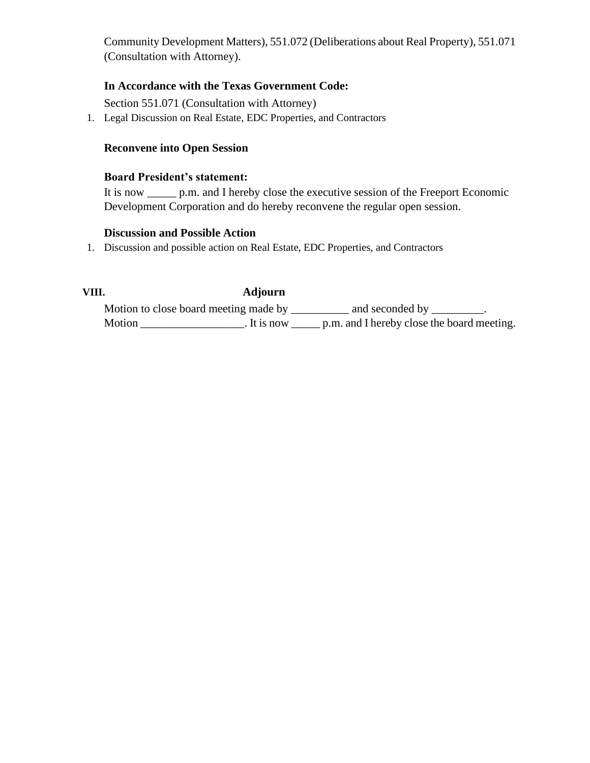Community Development Matters), 551.072 (Deliberations about Real Property), 551.071 (Consultation with Attorney).

### **In Accordance with the Texas Government Code:**

Section 551.071 (Consultation with Attorney)

1. Legal Discussion on Real Estate, EDC Properties, and Contractors

#### **Reconvene into Open Session**

#### **Board President's statement:**

It is now p.m. and I hereby close the executive session of the Freeport Economic Development Corporation and do hereby reconvene the regular open session.

#### **Discussion and Possible Action**

1. Discussion and possible action on Real Estate, EDC Properties, and Contractors

## **VIII. Adjourn**

Motion to close board meeting made by \_\_\_\_\_\_\_\_\_ and seconded by \_\_\_\_\_\_\_\_. Motion \_\_\_\_\_\_\_\_\_\_\_\_\_\_\_\_\_\_\_\_\_\_. It is now \_\_\_\_\_\_ p.m. and I hereby close the board meeting.